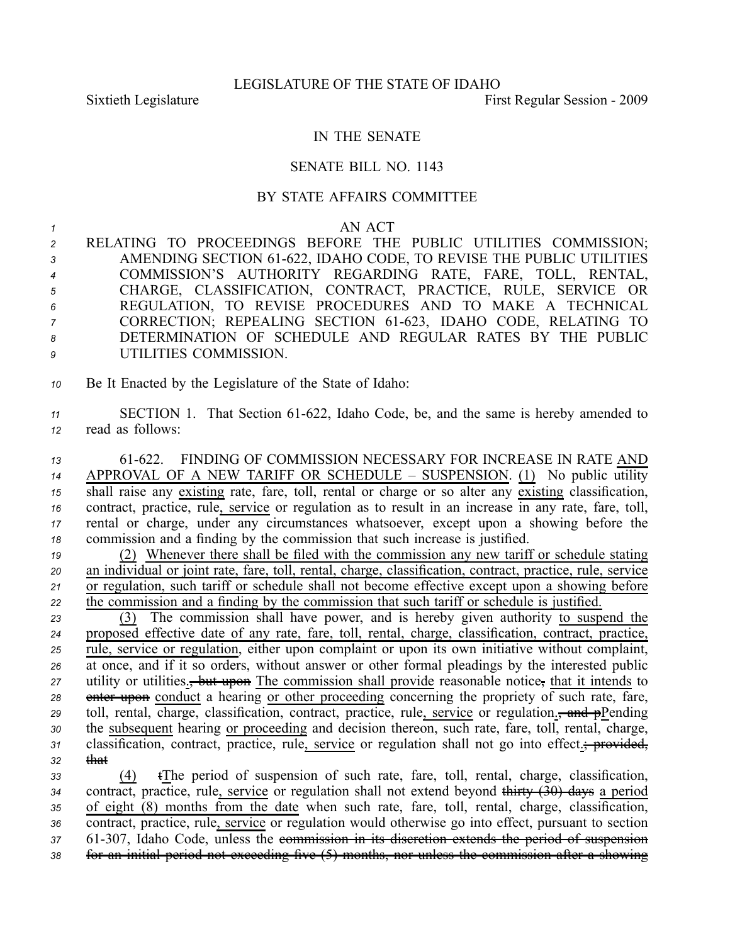## IN THE SENATE

## SENATE BILL NO. 1143

## BY STATE AFFAIRS COMMITTEE

## *1* AN ACT

 RELATING TO PROCEEDINGS BEFORE THE PUBLIC UTILITIES COMMISSION; 3 AMENDING SECTION 61-622, IDAHO CODE, TO REVISE THE PUBLIC UTILITIES COMMISSION'S AUTHORITY REGARDING RATE, FARE, TOLL, RENTAL, CHARGE, CLASSIFICATION, CONTRACT, PRACTICE, RULE, SERVICE OR REGULATION, TO REVISE PROCEDURES AND TO MAKE A TECHNICAL 7 CORRECTION; REPEALING SECTION 61-623, IDAHO CODE, RELATING TO DETERMINATION OF SCHEDULE AND REGULAR RATES BY THE PUBLIC UTILITIES COMMISSION.

*<sup>10</sup>* Be It Enacted by the Legislature of the State of Idaho:

11 SECTION 1. That Section 61-622, Idaho Code, be, and the same is hereby amended to *<sup>12</sup>* read as follows:

 61622. FINDING OF COMMISSION NECESSARY FOR INCREASE IN RATE AND APPROVAL OF A NEW TARIFF OR SCHEDULE – SUSPENSION. (1) No public utility <sup>15</sup> shall raise any existing rate, fare, toll, rental or charge or so alter any existing classification, contract, practice, rule, service or regulation as to result in an increase in any rate, fare, toll, rental or charge, under any circumstances whatsoever, excep<sup>t</sup> upon <sup>a</sup> showing before the commission and <sup>a</sup> finding by the commission that such increase is justified.

 (2) Whenever there shall be filed with the commission any new tariff or schedule stating an individual or joint rate, fare, toll, rental, charge, classification, contract, practice, rule, service or regulation, such tariff or schedule shall not become effective excep<sup>t</sup> upon <sup>a</sup> showing before the commission and <sup>a</sup> finding by the commission that such tariff or schedule is justified.

*<sup>23</sup>* (3) The commission shall have power, and is hereby given authority to suspend the *<sup>24</sup>* proposed effective date of any rate, fare, toll, rental, charge, classification, contract, practice, *<sup>25</sup>* rule, service or regulation, either upon complaint or upon its own initiative without complaint, *<sup>26</sup>* at once, and if it so orders, without answer or other formal pleadings by the interested public 27 utility or utilities.<del>, but upon</del> The commission shall provide reasonable notice, that it intends to **28** enter upon conduct a hearing or other proceeding concerning the propriety of such rate, fare, 29 toll, rental, charge, classification, contract, practice, rule, service or regulation<sub>-</sub>, and pPending *<sup>30</sup>* the subsequent hearing or proceeding and decision thereon, such rate, fare, toll, rental, charge, 31 classification, contract, practice, rule, service or regulation shall not go into effect.; provided, *<sup>32</sup>* that

 (4) tThe period of suspension of such rate, fare, toll, rental, charge, classification, contract, practice, rule, service or regulation shall not extend beyond thirty (30) days <sup>a</sup> period of eight (8) months from the date when such rate, fare, toll, rental, charge, classification, contract, practice, rule, service or regulation would otherwise go into effect, pursuan<sup>t</sup> to section 61307, Idaho Code, unless the commission in its discretion extends the period of suspension for an initial period not exceeding five (5) months, nor unless the commission after <sup>a</sup> showing